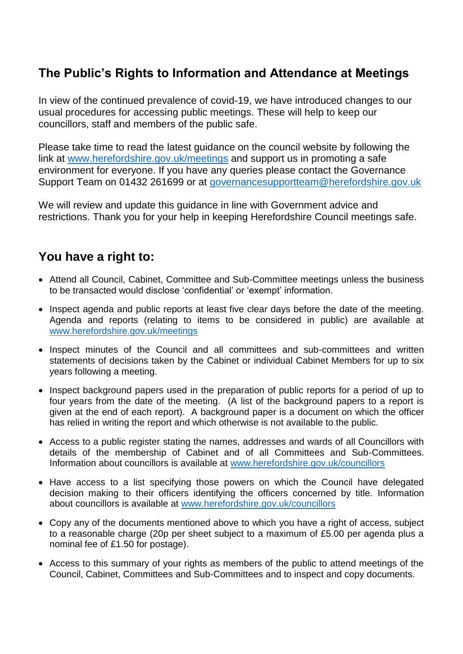## **The Public's Rights to Information and Attendance at Meetings**

In view of the continued prevalence of covid-19, we have introduced changes to our usual procedures for accessing public meetings. These will help to keep our councillors, staff and members of the public safe.

Please take time to read the latest guidance on the council website by following the link at [www.herefordshire.gov.uk/meetings](http://www.herefordshire.gov.uk/meetings) and support us in promoting a safe environment for everyone. If you have any queries please contact the Governance Support Team on 01432 261699 or at [governancesupportteam@herefordshire.gov.uk](mailto:governancesupportteam@herefordshire.gov.uk)

We will review and update this guidance in line with Government advice and restrictions. Thank you for your help in keeping Herefordshire Council meetings safe.

## **You have a right to:**

- Attend all Council, Cabinet, Committee and Sub-Committee meetings unless the business to be transacted would disclose 'confidential' or 'exempt' information.
- Inspect agenda and public reports at least five clear days before the date of the meeting. Agenda and reports (relating to items to be considered in public) are available at [www.herefordshire.gov.uk/meetings](http://www.herefordshire.gov.uk/meetings)
- Inspect minutes of the Council and all committees and sub-committees and written statements of decisions taken by the Cabinet or individual Cabinet Members for up to six years following a meeting.
- Inspect background papers used in the preparation of public reports for a period of up to four years from the date of the meeting. (A list of the background papers to a report is given at the end of each report). A background paper is a document on which the officer has relied in writing the report and which otherwise is not available to the public.
- Access to a public register stating the names, addresses and wards of all Councillors with details of the membership of Cabinet and of all Committees and Sub-Committees. Information about councillors is available at [www.herefordshire.gov.uk/councillors](http://www.herefordshire.gov.uk/councillors)
- Have access to a list specifying those powers on which the Council have delegated decision making to their officers identifying the officers concerned by title. Information about councillors is available at [www.herefordshire.gov.uk/councillors](http://www.herefordshire.gov.uk/councillors)
- Copy any of the documents mentioned above to which you have a right of access, subject to a reasonable charge (20p per sheet subject to a maximum of £5.00 per agenda plus a nominal fee of £1.50 for postage).
- Access to this summary of your rights as members of the public to attend meetings of the Council, Cabinet, Committees and Sub-Committees and to inspect and copy documents.